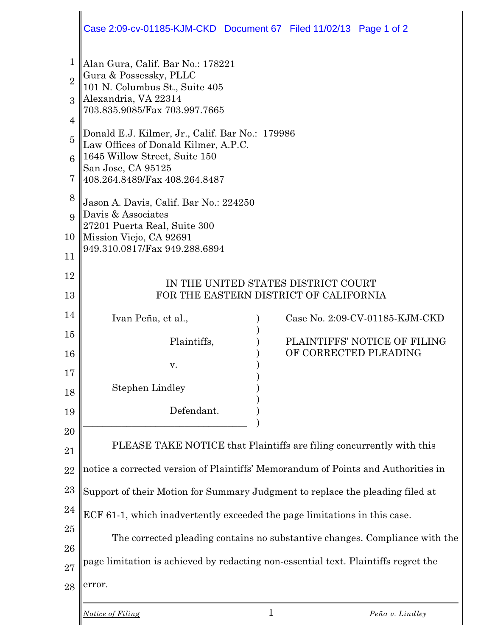|                     | Case 2:09-cv-01185-KJM-CKD Document 67 Filed 11/02/13 Page 1 of 2                  |
|---------------------|------------------------------------------------------------------------------------|
| 1<br>$\overline{2}$ | Alan Gura, Calif. Bar No.: 178221<br>Gura & Possessky, PLLC                        |
| $\mathcal{S}$       | 101 N. Columbus St., Suite 405<br>Alexandria, VA 22314                             |
| 4                   | 703.835.9085/Fax 703.997.7665                                                      |
| $\overline{5}$      | Donald E.J. Kilmer, Jr., Calif. Bar No.: 179986                                    |
| 6                   | Law Offices of Donald Kilmer, A.P.C.<br>1645 Willow Street, Suite 150              |
| 7                   | San Jose, CA 95125<br>408.264.8489/Fax 408.264.8487                                |
| 8                   | Jason A. Davis, Calif. Bar No.: 224250                                             |
| $\mathbf Q$         | Davis & Associates<br>27201 Puerta Real, Suite 300                                 |
| 10                  | Mission Viejo, CA 92691                                                            |
| 11                  | 949.310.0817/Fax 949.288.6894                                                      |
| 12                  | IN THE UNITED STATES DISTRICT COURT                                                |
| 13                  | FOR THE EASTERN DISTRICT OF CALIFORNIA                                             |
| 14                  | Case No. 2:09-CV-01185-KJM-CKD<br>Ivan Peña, et al.,                               |
| 15                  | PLAINTIFFS' NOTICE OF FILING<br>Plaintiffs,                                        |
| 16                  | OF CORRECTED PLEADING                                                              |
| 17                  | v.                                                                                 |
| 18                  | <b>Stephen Lindley</b>                                                             |
| 19                  | Defendant.                                                                         |
| 20                  |                                                                                    |
| 21                  | PLEASE TAKE NOTICE that Plaintiffs are filing concurrently with this               |
| 22                  | notice a corrected version of Plaintiffs' Memorandum of Points and Authorities in  |
| 23                  | Support of their Motion for Summary Judgment to replace the pleading filed at      |
| 24                  | ECF 61-1, which inadvertently exceeded the page limitations in this case.          |
| 25                  | The corrected pleading contains no substantive changes. Compliance with the        |
| 26                  |                                                                                    |
| 27                  | page limitation is achieved by redacting non-essential text. Plaintiffs regret the |
| 28                  | error.                                                                             |
|                     | $\mathbf{1}$<br>Notice of Filing<br>Peña v. Lindley                                |